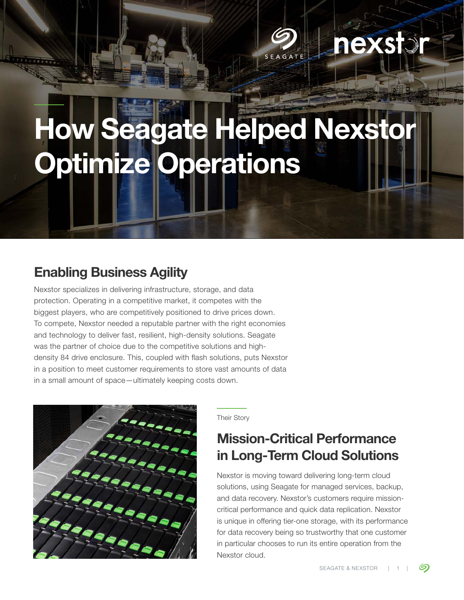### **AXS** SEAGATE

# How Seagate Helped Nexsto Optimize Operations

### Enabling Business Agility

Nexstor specializes in delivering infrastructure, storage, and data protection. Operating in a competitive market, it competes with the biggest players, who are competitively positioned to drive prices down. To compete, Nexstor needed a reputable partner with the right economies and technology to deliver fast, resilient, high-density solutions. Seagate was the partner of choice due to the competitive solutions and highdensity 84 drive enclosure. This, coupled with flash solutions, puts Nexstor in a position to meet customer requirements to store vast amounts of data in a small amount of space—ultimately keeping costs down.



Their Story

#### Mission-Critical Performance in Long-Term Cloud Solutions

Nexstor is moving toward delivering long-term cloud solutions, using Seagate for managed services, backup, and data recovery. Nexstor's customers require missioncritical performance and quick data replication. Nexstor is unique in offering tier-one storage, with its performance for data recovery being so trustworthy that one customer in particular chooses to run its entire operation from the Nexstor cloud.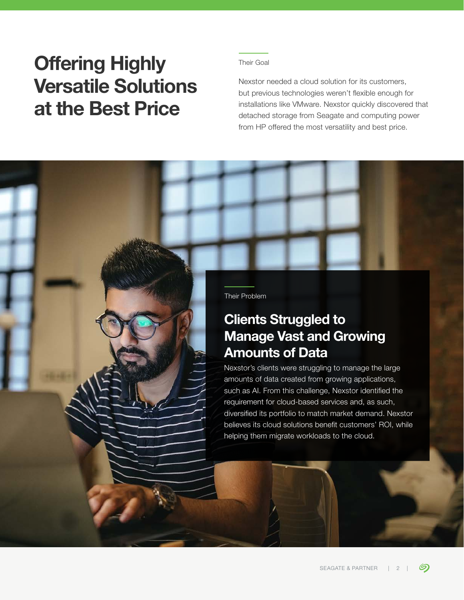## Offering Highly Versatile Solutions at the Best Price

#### Their Goal

Nexstor needed a cloud solution for its customers, but previous technologies weren't flexible enough for installations like VMware. Nexstor quickly discovered that detached storage from Seagate and computing power from HP offered the most versatility and best price.

Their Problem

#### Clients Struggled to Manage Vast and Growing Amounts of Data

Nexstor's clients were struggling to manage the large amounts of data created from growing applications, such as AI. From this challenge, Nexstor identified the requirement for cloud-based services and, as such, diversified its portfolio to match market demand. Nexstor believes its cloud solutions benefit customers' ROI, while helping them migrate workloads to the cloud.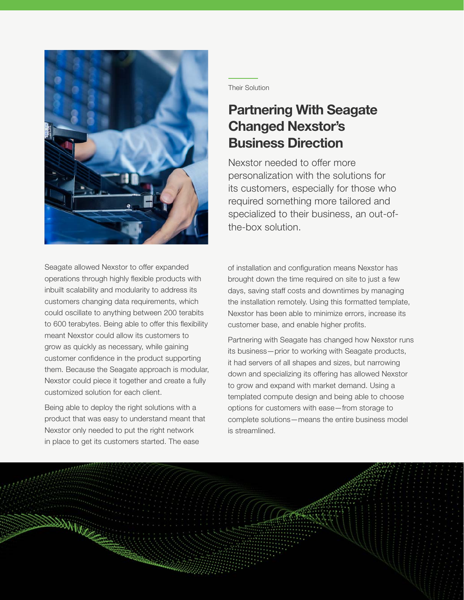

Seagate allowed Nexstor to offer expanded operations through highly flexible products with inbuilt scalability and modularity to address its customers changing data requirements, which could oscillate to anything between 200 terabits to 600 terabytes. Being able to offer this flexibility meant Nexstor could allow its customers to grow as quickly as necessary, while gaining customer confidence in the product supporting them. Because the Seagate approach is modular, Nexstor could piece it together and create a fully customized solution for each client.

Being able to deploy the right solutions with a product that was easy to understand meant that Nexstor only needed to put the right network in place to get its customers started. The ease

Their Solution

#### Partnering With Seagate Changed Nexstor's Business Direction

Nexstor needed to offer more personalization with the solutions for its customers, especially for those who required something more tailored and specialized to their business, an out-ofthe-box solution.

of installation and configuration means Nexstor has brought down the time required on site to just a few days, saving staff costs and downtimes by managing the installation remotely. Using this formatted template, Nexstor has been able to minimize errors, increase its customer base, and enable higher profits.

Partnering with Seagate has changed how Nexstor runs its business—prior to working with Seagate products, it had servers of all shapes and sizes, but narrowing down and specializing its offering has allowed Nexstor to grow and expand with market demand. Using a templated compute design and being able to choose options for customers with ease—from storage to complete solutions—means the entire business model is streamlined.

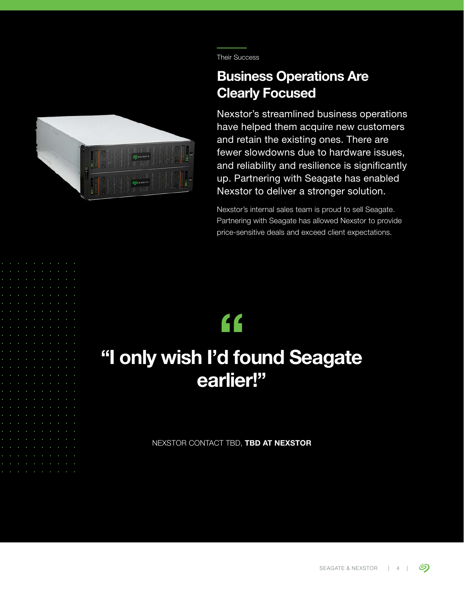

Their Success

#### Business Operations Are Clearly Focused

Nexstor's streamlined business operations have helped them acquire new customers and retain the existing ones. There are fewer slowdowns due to hardware issues, and reliability and resilience is significantly up. Partnering with Seagate has enabled Nexstor to deliver a stronger solution.

Nexstor's internal sales team is proud to sell Seagate. Partnering with Seagate has allowed Nexstor to provide price-sensitive deals and exceed client expectations.

## "

### "I only wish I'd found Seagate earlier!"

NEXSTOR CONTACT TBD, TBD AT NEXSTOR